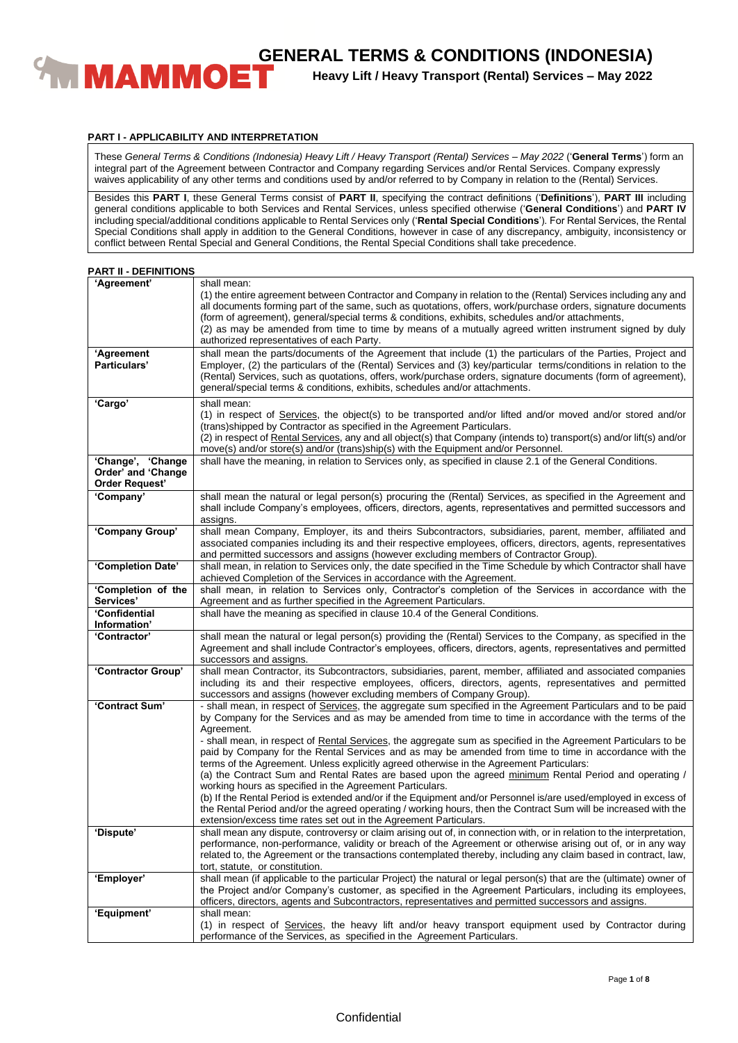

**Heavy Lift / Heavy Transport (Rental) Services – May 2022**

#### **PART I - APPLICABILITY AND INTERPRETATION**

These *General Terms & Conditions (Indonesia) Heavy Lift / Heavy Transport (Rental) Services – May 2022* ('**General Terms**') form an integral part of the Agreement between Contractor and Company regarding Services and/or Rental Services. Company expressly waives applicability of any other terms and conditions used by and/or referred to by Company in relation to the (Rental) Services.

Besides this **PART I**, these General Terms consist of **PART II**, specifying the contract definitions ('**Definitions**'), **PART III** including general conditions applicable to both Services and Rental Services, unless specified otherwise ('**General Conditions**') and **PART IV** including special/additional conditions applicable to Rental Services only ('**Rental Special Conditions**'). For Rental Services, the Rental Special Conditions shall apply in addition to the General Conditions, however in case of any discrepancy, ambiguity, inconsistency or conflict between Rental Special and General Conditions, the Rental Special Conditions shall take precedence.

| <b>PART II - DEFINITIONS</b> |  |
|------------------------------|--|
|                              |  |

| 'Agreement'                                                      | shall mean:<br>(1) the entire agreement between Contractor and Company in relation to the (Rental) Services including any and<br>all documents forming part of the same, such as quotations, offers, work/purchase orders, signature documents<br>(form of agreement), general/special terms & conditions, exhibits, schedules and/or attachments,<br>(2) as may be amended from time to time by means of a mutually agreed written instrument signed by duly<br>authorized representatives of each Party. |
|------------------------------------------------------------------|------------------------------------------------------------------------------------------------------------------------------------------------------------------------------------------------------------------------------------------------------------------------------------------------------------------------------------------------------------------------------------------------------------------------------------------------------------------------------------------------------------|
| 'Agreement<br>Particulars'                                       | shall mean the parts/documents of the Agreement that include (1) the particulars of the Parties, Project and<br>Employer, (2) the particulars of the (Rental) Services and (3) key/particular terms/conditions in relation to the<br>(Rental) Services, such as quotations, offers, work/purchase orders, signature documents (form of agreement),<br>general/special terms & conditions, exhibits, schedules and/or attachments.                                                                          |
| 'Cargo'                                                          | shall mean:<br>(1) in respect of Services, the object(s) to be transported and/or lifted and/or moved and/or stored and/or<br>(trans) shipped by Contractor as specified in the Agreement Particulars.<br>(2) in respect of Rental Services, any and all object(s) that Company (intends to) transport(s) and/or lift(s) and/or<br>move(s) and/or store(s) and/or (trans)ship(s) with the Equipment and/or Personnel.                                                                                      |
| 'Change', 'Change<br>Order' and 'Change<br><b>Order Request'</b> | shall have the meaning, in relation to Services only, as specified in clause 2.1 of the General Conditions.                                                                                                                                                                                                                                                                                                                                                                                                |
| 'Company'                                                        | shall mean the natural or legal person(s) procuring the (Rental) Services, as specified in the Agreement and<br>shall include Company's employees, officers, directors, agents, representatives and permitted successors and<br>assigns.                                                                                                                                                                                                                                                                   |
| 'Company Group'                                                  | shall mean Company, Employer, its and theirs Subcontractors, subsidiaries, parent, member, affiliated and<br>associated companies including its and their respective employees, officers, directors, agents, representatives<br>and permitted successors and assigns (however excluding members of Contractor Group).                                                                                                                                                                                      |
| 'Completion Date'                                                | shall mean, in relation to Services only, the date specified in the Time Schedule by which Contractor shall have<br>achieved Completion of the Services in accordance with the Agreement.                                                                                                                                                                                                                                                                                                                  |
| 'Completion of the<br>Services'                                  | shall mean, in relation to Services only, Contractor's completion of the Services in accordance with the<br>Agreement and as further specified in the Agreement Particulars.                                                                                                                                                                                                                                                                                                                               |
| 'Confidential                                                    | shall have the meaning as specified in clause 10.4 of the General Conditions.                                                                                                                                                                                                                                                                                                                                                                                                                              |
| Information'<br>'Contractor'                                     | shall mean the natural or legal person(s) providing the (Rental) Services to the Company, as specified in the                                                                                                                                                                                                                                                                                                                                                                                              |
|                                                                  | Agreement and shall include Contractor's employees, officers, directors, agents, representatives and permitted<br>successors and assigns.                                                                                                                                                                                                                                                                                                                                                                  |
| 'Contractor Group'                                               | shall mean Contractor, its Subcontractors, subsidiaries, parent, member, affiliated and associated companies<br>including its and their respective employees, officers, directors, agents, representatives and permitted<br>successors and assigns (however excluding members of Company Group).                                                                                                                                                                                                           |
| 'Contract Sum'                                                   | - shall mean, in respect of Services, the aggregate sum specified in the Agreement Particulars and to be paid<br>by Company for the Services and as may be amended from time to time in accordance with the terms of the<br>Agreement.<br>- shall mean, in respect of Rental Services, the aggregate sum as specified in the Agreement Particulars to be                                                                                                                                                   |
|                                                                  | paid by Company for the Rental Services and as may be amended from time to time in accordance with the<br>terms of the Agreement. Unless explicitly agreed otherwise in the Agreement Particulars:<br>(a) the Contract Sum and Rental Rates are based upon the agreed minimum Rental Period and operating /<br>working hours as specified in the Agreement Particulars.                                                                                                                                    |
|                                                                  | (b) If the Rental Period is extended and/or if the Equipment and/or Personnel is/are used/employed in excess of<br>the Rental Period and/or the agreed operating / working hours, then the Contract Sum will be increased with the<br>extension/excess time rates set out in the Agreement Particulars.                                                                                                                                                                                                    |
| 'Dispute'                                                        | shall mean any dispute, controversy or claim arising out of, in connection with, or in relation to the interpretation,<br>performance, non-performance, validity or breach of the Agreement or otherwise arising out of, or in any way<br>related to, the Agreement or the transactions contemplated thereby, including any claim based in contract, law,<br>tort, statute, or constitution.                                                                                                               |
| 'Employer'                                                       | shall mean (if applicable to the particular Project) the natural or legal person(s) that are the (ultimate) owner of<br>the Project and/or Company's customer, as specified in the Agreement Particulars, including its employees,<br>officers, directors, agents and Subcontractors, representatives and permitted successors and assigns.                                                                                                                                                                |
| 'Equipment'                                                      | shall mean:                                                                                                                                                                                                                                                                                                                                                                                                                                                                                                |
|                                                                  | (1) in respect of Services, the heavy lift and/or heavy transport equipment used by Contractor during<br>performance of the Services, as specified in the Agreement Particulars.                                                                                                                                                                                                                                                                                                                           |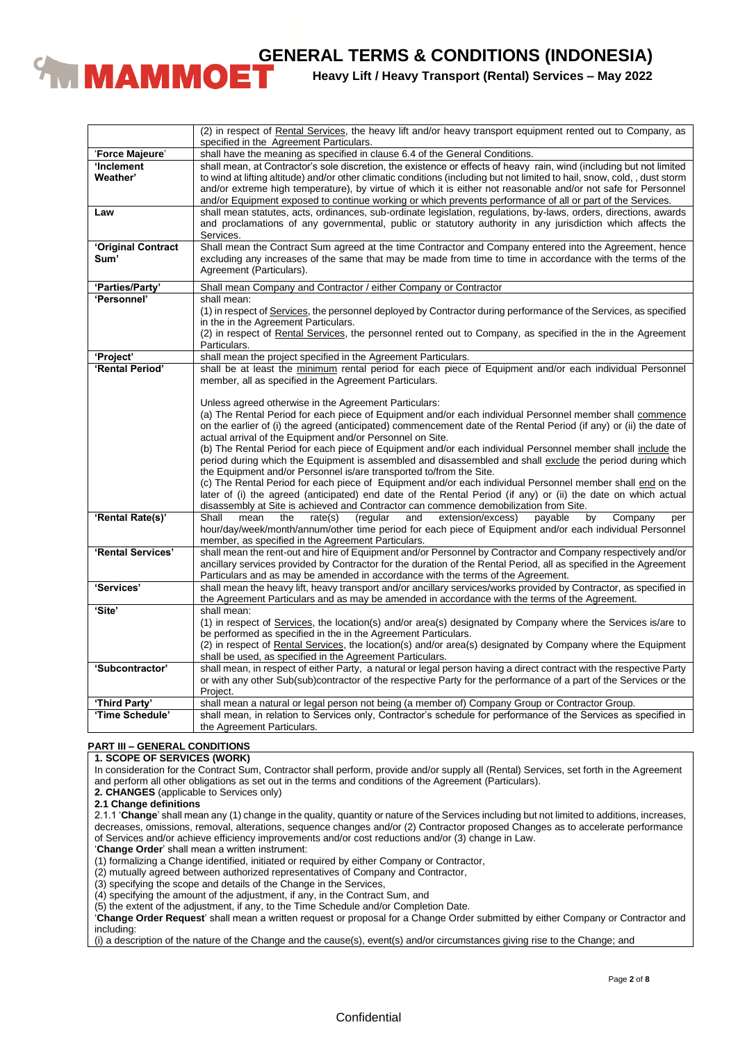

**Heavy Lift / Heavy Transport (Rental) Services – May 2022**

|                    | (2) in respect of Rental Services, the heavy lift and/or heavy transport equipment rented out to Company, as<br>specified in the Agreement Particulars.                                                |
|--------------------|--------------------------------------------------------------------------------------------------------------------------------------------------------------------------------------------------------|
| 'Force Majeure'    | shall have the meaning as specified in clause 6.4 of the General Conditions.                                                                                                                           |
| 'Inclement         | shall mean, at Contractor's sole discretion, the existence or effects of heavy rain, wind (including but not limited                                                                                   |
| Weather'           | to wind at lifting altitude) and/or other climatic conditions (including but not limited to hail, snow, cold,, dust storm                                                                              |
|                    | and/or extreme high temperature), by virtue of which it is either not reasonable and/or not safe for Personnel                                                                                         |
|                    | and/or Equipment exposed to continue working or which prevents performance of all or part of the Services.                                                                                             |
| Law                | shall mean statutes, acts, ordinances, sub-ordinate legislation, regulations, by-laws, orders, directions, awards                                                                                      |
|                    | and proclamations of any governmental, public or statutory authority in any jurisdiction which affects the                                                                                             |
|                    | Services.                                                                                                                                                                                              |
| 'Original Contract | Shall mean the Contract Sum agreed at the time Contractor and Company entered into the Agreement, hence                                                                                                |
| Sum'               | excluding any increases of the same that may be made from time to time in accordance with the terms of the                                                                                             |
|                    | Agreement (Particulars).                                                                                                                                                                               |
| 'Parties/Party'    | Shall mean Company and Contractor / either Company or Contractor                                                                                                                                       |
| 'Personnel'        | shall mean:                                                                                                                                                                                            |
|                    | (1) in respect of Services, the personnel deployed by Contractor during performance of the Services, as specified                                                                                      |
|                    | in the in the Agreement Particulars.                                                                                                                                                                   |
|                    | (2) in respect of Rental Services, the personnel rented out to Company, as specified in the in the Agreement                                                                                           |
|                    | Particulars.                                                                                                                                                                                           |
| 'Project'          | shall mean the project specified in the Agreement Particulars.                                                                                                                                         |
| 'Rental Period'    | shall be at least the minimum rental period for each piece of Equipment and/or each individual Personnel                                                                                               |
|                    | member, all as specified in the Agreement Particulars.                                                                                                                                                 |
|                    |                                                                                                                                                                                                        |
|                    | Unless agreed otherwise in the Agreement Particulars:                                                                                                                                                  |
|                    | (a) The Rental Period for each piece of Equipment and/or each individual Personnel member shall commence                                                                                               |
|                    | on the earlier of (i) the agreed (anticipated) commencement date of the Rental Period (if any) or (ii) the date of                                                                                     |
|                    | actual arrival of the Equipment and/or Personnel on Site.                                                                                                                                              |
|                    | (b) The Rental Period for each piece of Equipment and/or each individual Personnel member shall include the                                                                                            |
|                    | period during which the Equipment is assembled and disassembled and shall exclude the period during which                                                                                              |
|                    | the Equipment and/or Personnel is/are transported to/from the Site.                                                                                                                                    |
|                    | (c) The Rental Period for each piece of Equipment and/or each individual Personnel member shall end on the                                                                                             |
|                    | later of (i) the agreed (anticipated) end date of the Rental Period (if any) or (ii) the date on which actual<br>disassembly at Site is achieved and Contractor can commence demobilization from Site. |
| 'Rental Rate(s)'   | Shall<br>extension/excess)<br>mean<br>the<br>rate(s)<br>(regular<br>and<br>payable<br>by<br>Company<br>per                                                                                             |
|                    | hour/day/week/month/annum/other time period for each piece of Equipment and/or each individual Personnel                                                                                               |
|                    | member, as specified in the Agreement Particulars.                                                                                                                                                     |
| 'Rental Services'  | shall mean the rent-out and hire of Equipment and/or Personnel by Contractor and Company respectively and/or                                                                                           |
|                    | ancillary services provided by Contractor for the duration of the Rental Period, all as specified in the Agreement                                                                                     |
|                    | Particulars and as may be amended in accordance with the terms of the Agreement.                                                                                                                       |
| 'Services'         | shall mean the heavy lift, heavy transport and/or ancillary services/works provided by Contractor, as specified in                                                                                     |
|                    | the Agreement Particulars and as may be amended in accordance with the terms of the Agreement.                                                                                                         |
| 'Site'             | shall mean:                                                                                                                                                                                            |
|                    | (1) in respect of Services, the location(s) and/or area(s) designated by Company where the Services is/are to                                                                                          |
|                    | be performed as specified in the in the Agreement Particulars.                                                                                                                                         |
|                    | (2) in respect of Rental Services, the location(s) and/or area(s) designated by Company where the Equipment                                                                                            |
|                    | shall be used, as specified in the Agreement Particulars.                                                                                                                                              |
| 'Subcontractor'    | shall mean, in respect of either Party, a natural or legal person having a direct contract with the respective Party                                                                                   |
|                    | or with any other Sub(sub)contractor of the respective Party for the performance of a part of the Services or the                                                                                      |
|                    | Project.                                                                                                                                                                                               |
| 'Third Party'      | shall mean a natural or legal person not being (a member of) Company Group or Contractor Group.                                                                                                        |
| 'Time Schedule'    | shall mean, in relation to Services only, Contractor's schedule for performance of the Services as specified in                                                                                        |
|                    | the Agreement Particulars.                                                                                                                                                                             |

# **PART III – GENERAL CONDITIONS**

# **1. SCOPE OF SERVICES (WORK)**

In consideration for the Contract Sum, Contractor shall perform, provide and/or supply all (Rental) Services, set forth in the Agreement and perform all other obligations as set out in the terms and conditions of the Agreement (Particulars).

**2. CHANGES** (applicable to Services only)

**2.1 Change definitions**

2.1.1 '**Change**' shall mean any (1) change in the quality, quantity or nature of the Services including but not limited to additions, increases, decreases, omissions, removal, alterations, sequence changes and/or (2) Contractor proposed Changes as to accelerate performance of Services and/or achieve efficiency improvements and/or cost reductions and/or (3) change in Law.

'**Change Order**' shall mean a written instrument:

(1) formalizing a Change identified, initiated or required by either Company or Contractor,

(2) mutually agreed between authorized representatives of Company and Contractor,

(3) specifying the scope and details of the Change in the Services,

(4) specifying the amount of the adjustment, if any, in the Contract Sum, and

(5) the extent of the adjustment, if any, to the Time Schedule and/or Completion Date.

'**Change Order Request**' shall mean a written request or proposal for a Change Order submitted by either Company or Contractor and including:

(i) a description of the nature of the Change and the cause(s), event(s) and/or circumstances giving rise to the Change; and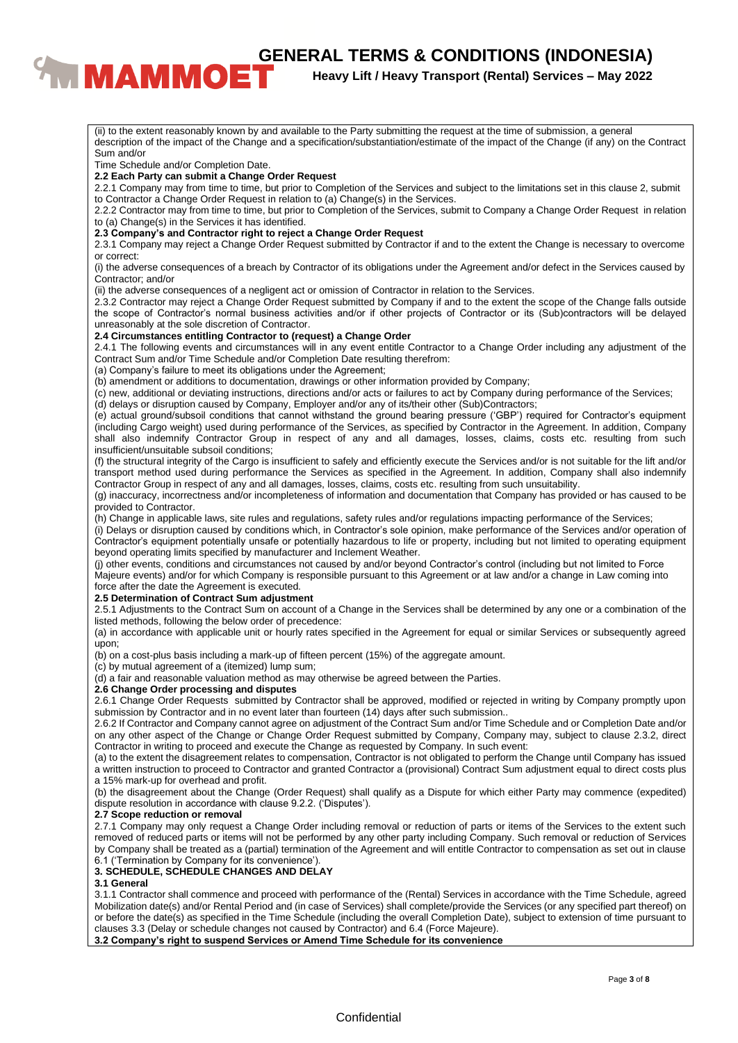# **CENERAL TERMS & CONDITIONS (INDONESIA)**<br><sup>Heavy Lift / Heavy Transport (Rental) Services – May 2022</sup>

**Heavy Lift / Heavy Transport (Rental) Services – May 2022**

(ii) to the extent reasonably known by and available to the Party submitting the request at the time of submission, a general description of the impact of the Change and a specification/substantiation/estimate of the impact of the Change (if any) on the Contract Sum and/or Time Schedule and/or Completion Date. **2.2 Each Party can submit a Change Order Request** 2.2.1 Company may from time to time, but prior to Completion of the Services and subject to the limitations set in this clause 2, submit to Contractor a Change Order Request in relation to (a) Change(s) in the Services. 2.2.2 Contractor may from time to time, but prior to Completion of the Services, submit to Company a Change Order Request in relation to (a) Change(s) in the Services it has identified. **2.3 Company's and Contractor right to reject a Change Order Request** 2.3.1 Company may reject a Change Order Request submitted by Contractor if and to the extent the Change is necessary to overcome or correct: (i) the adverse consequences of a breach by Contractor of its obligations under the Agreement and/or defect in the Services caused by Contractor; and/or (ii) the adverse consequences of a negligent act or omission of Contractor in relation to the Services. 2.3.2 Contractor may reject a Change Order Request submitted by Company if and to the extent the scope of the Change falls outside the scope of Contractor's normal business activities and/or if other projects of Contractor or its (Sub)contractors will be delayed unreasonably at the sole discretion of Contractor. **2.4 Circumstances entitling Contractor to (request) a Change Order** 2.4.1 The following events and circumstances will in any event entitle Contractor to a Change Order including any adjustment of the Contract Sum and/or Time Schedule and/or Completion Date resulting therefrom: (a) Company's failure to meet its obligations under the Agreement; (b) amendment or additions to documentation, drawings or other information provided by Company; (c) new, additional or deviating instructions, directions and/or acts or failures to act by Company during performance of the Services; (d) delays or disruption caused by Company, Employer and/or any of its/their other (Sub)Contractors; (e) actual ground/subsoil conditions that cannot withstand the ground bearing pressure ('GBP') required for Contractor's equipment (including Cargo weight) used during performance of the Services, as specified by Contractor in the Agreement. In addition, Company shall also indemnify Contractor Group in respect of any and all damages, losses, claims, costs etc. resulting from such insufficient/unsuitable subsoil conditions; (f) the structural integrity of the Cargo is insufficient to safely and efficiently execute the Services and/or is not suitable for the lift and/or transport method used during performance the Services as specified in the Agreement. In addition, Company shall also indemnify Contractor Group in respect of any and all damages, losses, claims, costs etc. resulting from such unsuitability. (g) inaccuracy, incorrectness and/or incompleteness of information and documentation that Company has provided or has caused to be provided to Contractor. (h) Change in applicable laws, site rules and regulations, safety rules and/or regulations impacting performance of the Services; (i) Delays or disruption caused by conditions which, in Contractor's sole opinion, make performance of the Services and/or operation of Contractor's equipment potentially unsafe or potentially hazardous to life or property, including but not limited to operating equipment beyond operating limits specified by manufacturer and Inclement Weather. (j) other events, conditions and circumstances not caused by and/or beyond Contractor's control (including but not limited to Force Majeure events) and/or for which Company is responsible pursuant to this Agreement or at law and/or a change in Law coming into force after the date the Agreement is executed. **2.5 Determination of Contract Sum adjustment** 2.5.1 Adjustments to the Contract Sum on account of a Change in the Services shall be determined by any one or a combination of the listed methods, following the below order of precedence: (a) in accordance with applicable unit or hourly rates specified in the Agreement for equal or similar Services or subsequently agreed upon; (b) on a cost-plus basis including a mark-up of fifteen percent (15%) of the aggregate amount. (c) by mutual agreement of a (itemized) lump sum; (d) a fair and reasonable valuation method as may otherwise be agreed between the Parties. **2.6 Change Order processing and disputes** 2.6.1 Change Order Requests submitted by Contractor shall be approved, modified or rejected in writing by Company promptly upon submission by Contractor and in no event later than fourteen (14) days after such submission.. 2.6.2 If Contractor and Company cannot agree on adjustment of the Contract Sum and/or Time Schedule and or Completion Date and/or on any other aspect of the Change or Change Order Request submitted by Company, Company may, subject to clause 2.3.2, direct Contractor in writing to proceed and execute the Change as requested by Company. In such event: (a) to the extent the disagreement relates to compensation, Contractor is not obligated to perform the Change until Company has issued a written instruction to proceed to Contractor and granted Contractor a (provisional) Contract Sum adjustment equal to direct costs plus a 15% mark-up for overhead and profit. (b) the disagreement about the Change (Order Request) shall qualify as a Dispute for which either Party may commence (expedited) dispute resolution in accordance with clause 9.2.2. ('Disputes'). **2.7 Scope reduction or removal** 2.7.1 Company may only request a Change Order including removal or reduction of parts or items of the Services to the extent such removed of reduced parts or items will not be performed by any other party including Company. Such removal or reduction of Services by Company shall be treated as a (partial) termination of the Agreement and will entitle Contractor to compensation as set out in clause 6.1 ('Termination by Company for its convenience'). **3. SCHEDULE, SCHEDULE CHANGES AND DELAY 3.1 General** 3.1.1 Contractor shall commence and proceed with performance of the (Rental) Services in accordance with the Time Schedule, agreed Mobilization date(s) and/or Rental Period and (in case of Services) shall complete/provide the Services (or any specified part thereof) on or before the date(s) as specified in the Time Schedule (including the overall Completion Date), subject to extension of time pursuant to clauses 3.3 (Delay or schedule changes not caused by Contractor) and 6.4 (Force Majeure). **3.2 Company's right to suspend Services or Amend Time Schedule for its convenience**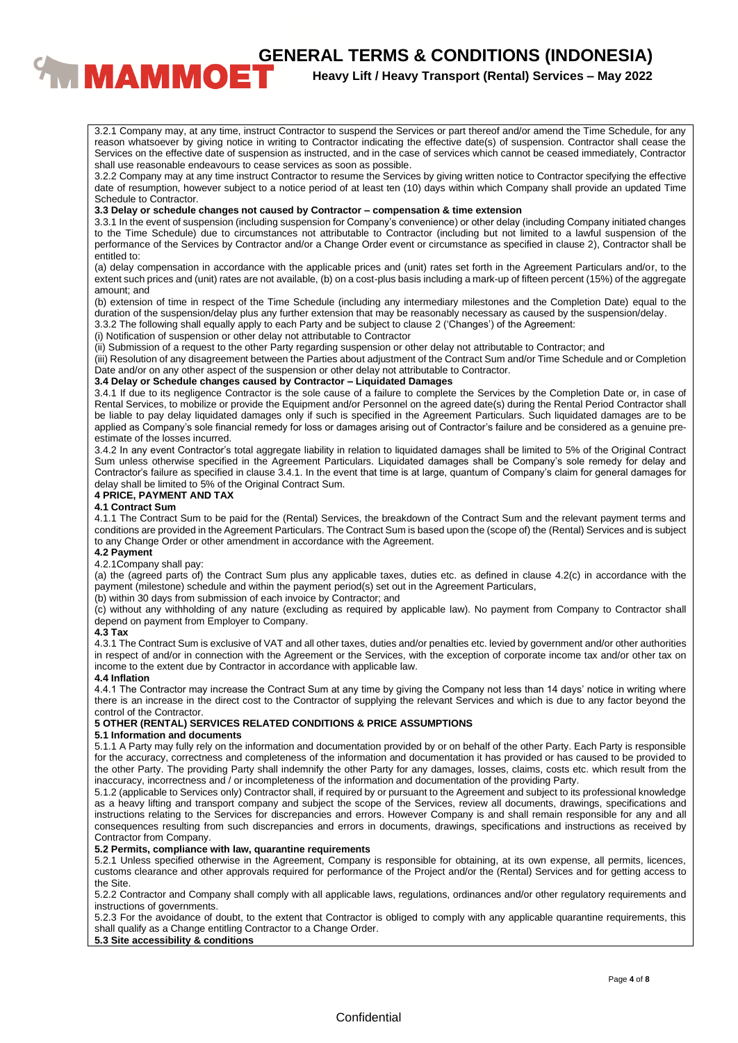# **CENERAL TERMS & CONDITIONS (INDONESIA)**<br><sup>Heavy Lift / Heavy Transport (Rental) Services – May 2022</sup>

# **Heavy Lift / Heavy Transport (Rental) Services – May 2022**

3.2.1 Company may, at any time, instruct Contractor to suspend the Services or part thereof and/or amend the Time Schedule, for any reason whatsoever by giving notice in writing to Contractor indicating the effective date(s) of suspension. Contractor shall cease the Services on the effective date of suspension as instructed, and in the case of services which cannot be ceased immediately, Contractor shall use reasonable endeavours to cease services as soon as possible.

3.2.2 Company may at any time instruct Contractor to resume the Services by giving written notice to Contractor specifying the effective date of resumption, however subject to a notice period of at least ten (10) days within which Company shall provide an updated Time Schedule to Contractor.

#### **3.3 Delay or schedule changes not caused by Contractor – compensation & time extension**

3.3.1 In the event of suspension (including suspension for Company's convenience) or other delay (including Company initiated changes to the Time Schedule) due to circumstances not attributable to Contractor (including but not limited to a lawful suspension of the performance of the Services by Contractor and/or a Change Order event or circumstance as specified in clause 2), Contractor shall be entitled to:

(a) delay compensation in accordance with the applicable prices and (unit) rates set forth in the Agreement Particulars and/or, to the extent such prices and (unit) rates are not available, (b) on a cost-plus basis including a mark-up of fifteen percent (15%) of the aggregate amount; and

(b) extension of time in respect of the Time Schedule (including any intermediary milestones and the Completion Date) equal to the duration of the suspension/delay plus any further extension that may be reasonably necessary as caused by the suspension/delay.

3.3.2 The following shall equally apply to each Party and be subject to clause 2 ('Changes') of the Agreement:

(i) Notification of suspension or other delay not attributable to Contractor

(ii) Submission of a request to the other Party regarding suspension or other delay not attributable to Contractor; and

(iii) Resolution of any disagreement between the Parties about adjustment of the Contract Sum and/or Time Schedule and or Completion Date and/or on any other aspect of the suspension or other delay not attributable to Contractor.

### **3.4 Delay or Schedule changes caused by Contractor – Liquidated Damages**

3.4.1 If due to its negligence Contractor is the sole cause of a failure to complete the Services by the Completion Date or, in case of Rental Services, to mobilize or provide the Equipment and/or Personnel on the agreed date(s) during the Rental Period Contractor shall be liable to pay delay liquidated damages only if such is specified in the Agreement Particulars. Such liquidated damages are to be applied as Company's sole financial remedy for loss or damages arising out of Contractor's failure and be considered as a genuine preestimate of the losses incurred.

3.4.2 In any event Contractor's total aggregate liability in relation to liquidated damages shall be limited to 5% of the Original Contract Sum unless otherwise specified in the Agreement Particulars. Liquidated damages shall be Company's sole remedy for delay and Contractor's failure as specified in clause 3.4.1. In the event that time is at large, quantum of Company's claim for general damages for delay shall be limited to 5% of the Original Contract Sum.

#### **4 PRICE, PAYMENT AND TAX**

#### **4.1 Contract Sum**

4.1.1 The Contract Sum to be paid for the (Rental) Services, the breakdown of the Contract Sum and the relevant payment terms and conditions are provided in the Agreement Particulars. The Contract Sum is based upon the (scope of) the (Rental) Services and is subject to any Change Order or other amendment in accordance with the Agreement.

#### **4.2 Payment**

4.2.1Company shall pay:

(a) the (agreed parts of) the Contract Sum plus any applicable taxes, duties etc. as defined in clause 4.2(c) in accordance with the payment (milestone) schedule and within the payment period(s) set out in the Agreement Particulars,

(b) within 30 days from submission of each invoice by Contractor; and

(c) without any withholding of any nature (excluding as required by applicable law). No payment from Company to Contractor shall depend on payment from Employer to Company.

#### **4.3 Tax**

4.3.1 The Contract Sum is exclusive of VAT and all other taxes, duties and/or penalties etc. levied by government and/or other authorities in respect of and/or in connection with the Agreement or the Services, with the exception of corporate income tax and/or other tax on income to the extent due by Contractor in accordance with applicable law.

#### **4.4 Inflation**

4.4.1 The Contractor may increase the Contract Sum at any time by giving the Company not less than 14 days' notice in writing where there is an increase in the direct cost to the Contractor of supplying the relevant Services and which is due to any factor beyond the control of the Contractor.

## **5 OTHER (RENTAL) SERVICES RELATED CONDITIONS & PRICE ASSUMPTIONS**

#### **5.1 Information and documents**

5.1.1 A Party may fully rely on the information and documentation provided by or on behalf of the other Party. Each Party is responsible for the accuracy, correctness and completeness of the information and documentation it has provided or has caused to be provided to the other Party. The providing Party shall indemnify the other Party for any damages, losses, claims, costs etc. which result from the inaccuracy, incorrectness and / or incompleteness of the information and documentation of the providing Party.

5.1.2 (applicable to Services only) Contractor shall, if required by or pursuant to the Agreement and subject to its professional knowledge as a heavy lifting and transport company and subject the scope of the Services, review all documents, drawings, specifications and instructions relating to the Services for discrepancies and errors. However Company is and shall remain responsible for any and all consequences resulting from such discrepancies and errors in documents, drawings, specifications and instructions as received by Contractor from Company.

# **5.2 Permits, compliance with law, quarantine requirements**

5.2.1 Unless specified otherwise in the Agreement, Company is responsible for obtaining, at its own expense, all permits, licences, customs clearance and other approvals required for performance of the Project and/or the (Rental) Services and for getting access to the Site.

5.2.2 Contractor and Company shall comply with all applicable laws, regulations, ordinances and/or other regulatory requirements and instructions of governments.

5.2.3 For the avoidance of doubt, to the extent that Contractor is obliged to comply with any applicable quarantine requirements, this shall qualify as a Change entitling Contractor to a Change Order.

# **5.3 Site accessibility & conditions**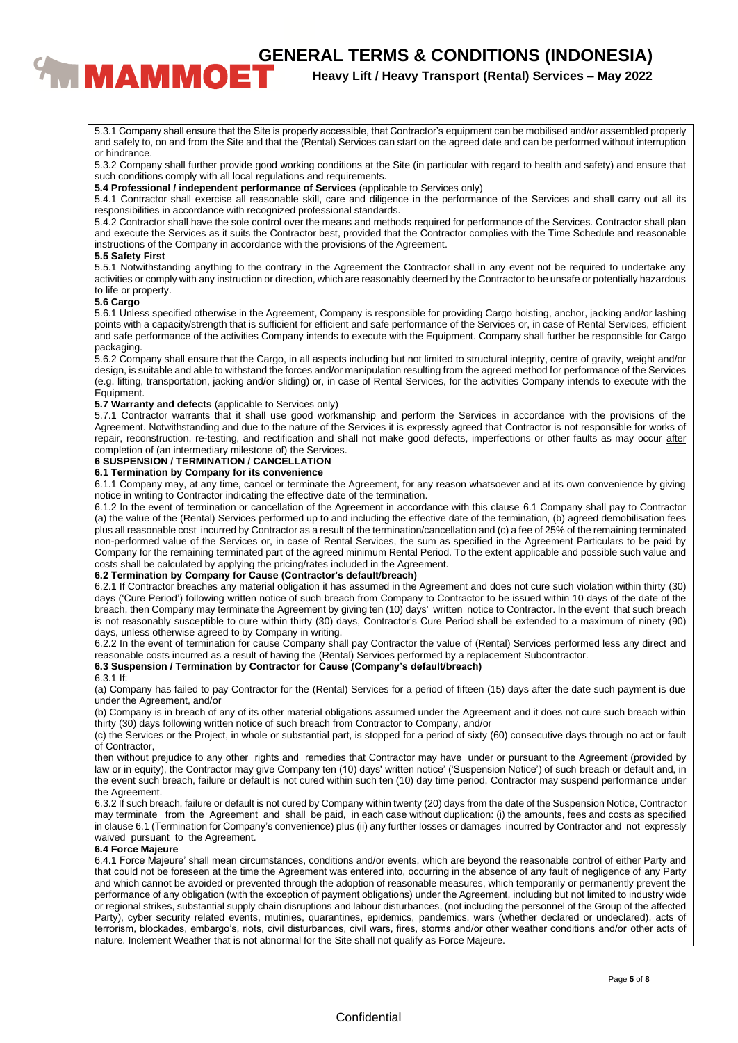# **CENERAL TERMS & CONDITIONS (INDONESIA)**<br><sup>Heavy Lift / Heavy Transport (Rental) Services – May 2022</sup>

# **Heavy Lift / Heavy Transport (Rental) Services – May 2022**

5.3.1 Company shall ensure that the Site is properly accessible, that Contractor's equipment can be mobilised and/or assembled properly and safely to, on and from the Site and that the (Rental) Services can start on the agreed date and can be performed without interruption or hindrance.

5.3.2 Company shall further provide good working conditions at the Site (in particular with regard to health and safety) and ensure that such conditions comply with all local regulations and requirements.

**5.4 Professional / independent performance of Services** (applicable to Services only)

5.4.1 Contractor shall exercise all reasonable skill, care and diligence in the performance of the Services and shall carry out all its responsibilities in accordance with recognized professional standards.

5.4.2 Contractor shall have the sole control over the means and methods required for performance of the Services. Contractor shall plan and execute the Services as it suits the Contractor best, provided that the Contractor complies with the Time Schedule and reasonable instructions of the Company in accordance with the provisions of the Agreement.

#### **5.5 Safety First**

5.5.1 Notwithstanding anything to the contrary in the Agreement the Contractor shall in any event not be required to undertake any activities or comply with any instruction or direction, which are reasonably deemed by the Contractor to be unsafe or potentially hazardous to life or property.

#### **5.6 Cargo**

5.6.1 Unless specified otherwise in the Agreement, Company is responsible for providing Cargo hoisting, anchor, jacking and/or lashing points with a capacity/strength that is sufficient for efficient and safe performance of the Services or, in case of Rental Services, efficient and safe performance of the activities Company intends to execute with the Equipment. Company shall further be responsible for Cargo packaging.

5.6.2 Company shall ensure that the Cargo, in all aspects including but not limited to structural integrity, centre of gravity, weight and/or design, is suitable and able to withstand the forces and/or manipulation resulting from the agreed method for performance of the Services (e.g. lifting, transportation, jacking and/or sliding) or, in case of Rental Services, for the activities Company intends to execute with the Equipment.

#### **5.7 Warranty and defects** (applicable to Services only)

5.7.1 Contractor warrants that it shall use good workmanship and perform the Services in accordance with the provisions of the Agreement. Notwithstanding and due to the nature of the Services it is expressly agreed that Contractor is not responsible for works of repair, reconstruction, re-testing, and rectification and shall not make good defects, imperfections or other faults as may occur after completion of (an intermediary milestone of) the Services.

## **6 SUSPENSION / TERMINATION / CANCELLATION**

#### **6.1 Termination by Company for its convenience**

6.1.1 Company may, at any time, cancel or terminate the Agreement, for any reason whatsoever and at its own convenience by giving notice in writing to Contractor indicating the effective date of the termination.

6.1.2 In the event of termination or cancellation of the Agreement in accordance with this clause 6.1 Company shall pay to Contractor (a) the value of the (Rental) Services performed up to and including the effective date of the termination, (b) agreed demobilisation fees plus all reasonable cost incurred by Contractor as a result of the termination/cancellation and (c) a fee of 25% of the remaining terminated non-performed value of the Services or, in case of Rental Services, the sum as specified in the Agreement Particulars to be paid by Company for the remaining terminated part of the agreed minimum Rental Period. To the extent applicable and possible such value and costs shall be calculated by applying the pricing/rates included in the Agreement.

#### **6.2 Termination by Company for Cause (Contractor's default/breach)**

6.2.1 If Contractor breaches any material obligation it has assumed in the Agreement and does not cure such violation within thirty (30) days ('Cure Period') following written notice of such breach from Company to Contractor to be issued within 10 days of the date of the breach, then Company may terminate the Agreement by giving ten (10) days' written notice to Contractor. ln the event that such breach is not reasonably susceptible to cure within thirty (30) days, Contractor's Cure Period shall be extended to a maximum of ninety (90) days, unless otherwise agreed to by Company in writing.

6.2.2 In the event of termination for cause Company shall pay Contractor the value of (Rental) Services performed less any direct and reasonable costs incurred as a result of having the (Rental) Services performed by a replacement Subcontractor.

#### **6.3 Suspension / Termination by Contractor for Cause (Company's default/breach)**

#### 6.3.1 If:

(a) Company has failed to pay Contractor for the (Rental) Services for a period of fifteen (15) days after the date such payment is due under the Agreement, and/or

(b) Company is in breach of any of its other material obligations assumed under the Agreement and it does not cure such breach within thirty (30) days following written notice of such breach from Contractor to Company, and/or

(c) the Services or the Project, in whole or substantial part, is stopped for a period of sixty (60) consecutive days through no act or fault of Contractor,

then without prejudice to any other rights and remedies that Contractor may have under or pursuant to the Agreement (provided by law or in equity), the Contractor may give Company ten (10) days' written notice' ('Suspension Notice') of such breach or default and, in the event such breach, failure or default is not cured within such ten (10) day time period, Contractor may suspend performance under the Agreement.

6.3.2 If such breach, failure or default is not cured by Company within twenty (20) days from the date of the Suspension Notice, Contractor may terminate from the Agreement and shall be paid, in each case without duplication: (i) the amounts, fees and costs as specified in clause 6.1 (Termination for Company's convenience) plus (ii) any further losses or damages incurred by Contractor and not expressly waived pursuant to the Agreement.

## **6.4 Force Majeure**

6.4.1 Force Majeure' shall mean circumstances, conditions and/or events, which are beyond the reasonable control of either Party and that could not be foreseen at the time the Agreement was entered into, occurring in the absence of any fault of negligence of any Party and which cannot be avoided or prevented through the adoption of reasonable measures, which temporarily or permanently prevent the performance of any obligation (with the exception of payment obligations) under the Agreement, including but not limited to industry wide or regional strikes, substantial supply chain disruptions and labour disturbances, (not including the personnel of the Group of the affected Party), cyber security related events, mutinies, quarantines, epidemics, pandemics, wars (whether declared or undeclared), acts of terrorism, blockades, embargo's, riots, civil disturbances, civil wars, fires, storms and/or other weather conditions and/or other acts of nature. Inclement Weather that is not abnormal for the Site shall not qualify as Force Majeure.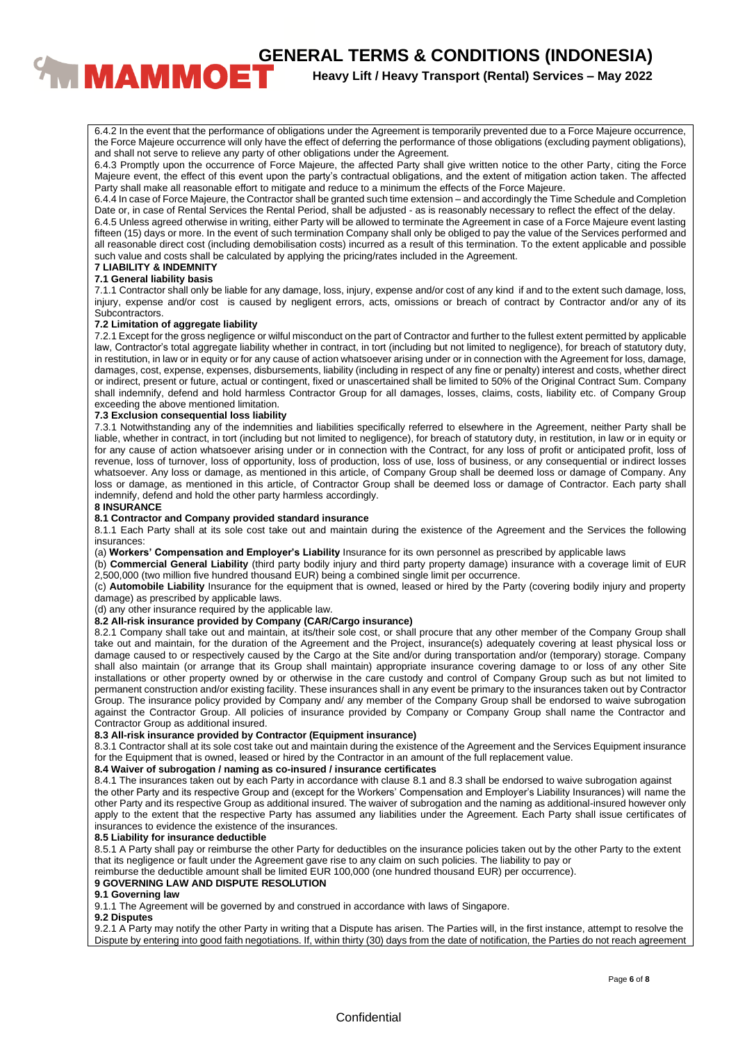**CENERAL TERMS & CONDITIONS (INDONESIA)**<br>**BENERAL TERMS & CONDITIONS (INDONESIA)**<br>Heavy Lift / Heavy Transport (Rental) Services – May 2022

**Heavy Lift / Heavy Transport (Rental) Services – May 2022**

6.4.2 In the event that the performance of obligations under the Agreement is temporarily prevented due to a Force Majeure occurrence, the Force Majeure occurrence will only have the effect of deferring the performance of those obligations (excluding payment obligations), and shall not serve to relieve any party of other obligations under the Agreement.

6.4.3 Promptly upon the occurrence of Force Majeure, the affected Party shall give written notice to the other Party, citing the Force Majeure event, the effect of this event upon the party's contractual obligations, and the extent of mitigation action taken. The affected Party shall make all reasonable effort to mitigate and reduce to a minimum the effects of the Force Majeure.

6.4.4 In case of Force Majeure, the Contractor shall be granted such time extension – and accordingly the Time Schedule and Completion Date or, in case of Rental Services the Rental Period, shall be adjusted - as is reasonably necessary to reflect the effect of the delay.

6.4.5 Unless agreed otherwise in writing, either Party will be allowed to terminate the Agreement in case of a Force Majeure event lasting fifteen (15) days or more. In the event of such termination Company shall only be obliged to pay the value of the Services performed and all reasonable direct cost (including demobilisation costs) incurred as a result of this termination. To the extent applicable and possible such value and costs shall be calculated by applying the pricing/rates included in the Agreement.

#### **7 LIABILITY & INDEMNITY 7.1 General liability basis**

7.1.1 Contractor shall only be liable for any damage, loss, injury, expense and/or cost of any kind if and to the extent such damage, loss, injury, expense and/or cost is caused by negligent errors, acts, omissions or breach of contract by Contractor and/or any of its Subcontractors.

#### **7.2 Limitation of aggregate liability**

7.2.1 Except for the gross negligence or wilful misconduct on the part of Contractor and further to the fullest extent permitted by applicable law, Contractor's total aggregate liability whether in contract, in tort (including but not limited to negligence), for breach of statutory duty, in restitution, in law or in equity or for any cause of action whatsoever arising under or in connection with the Agreement for loss, damage, damages, cost, expense, expenses, disbursements, liability (including in respect of any fine or penalty) interest and costs, whether direct or indirect, present or future, actual or contingent, fixed or unascertained shall be limited to 50% of the Original Contract Sum. Company shall indemnify, defend and hold harmless Contractor Group for all damages, losses, claims, costs, liability etc. of Company Group exceeding the above mentioned limitation.

#### **7.3 Exclusion consequential loss liability**

7.3.1 Notwithstanding any of the indemnities and liabilities specifically referred to elsewhere in the Agreement, neither Party shall be liable, whether in contract, in tort (including but not limited to negligence), for breach of statutory duty, in restitution, in law or in equity or for any cause of action whatsoever arising under or in connection with the Contract, for any loss of profit or anticipated profit, loss of revenue, loss of turnover, loss of opportunity, loss of production, loss of use, loss of business, or any consequential or indirect losses whatsoever. Any loss or damage, as mentioned in this article, of Company Group shall be deemed loss or damage of Company. Any loss or damage, as mentioned in this article, of Contractor Group shall be deemed loss or damage of Contractor. Each party shall indemnify, defend and hold the other party harmless accordingly.

#### **8 INSURANCE**

#### **8.1 Contractor and Company provided standard insurance**

8.1.1 Each Party shall at its sole cost take out and maintain during the existence of the Agreement and the Services the following insurances:

(a) **Workers' Compensation and Employer's Liability** Insurance for its own personnel as prescribed by applicable laws

(b) **Commercial General Liability** (third party bodily injury and third party property damage) insurance with a coverage limit of EUR 2,500,000 (two million five hundred thousand EUR) being a combined single limit per occurrence.

(c) **Automobile Liability** Insurance for the equipment that is owned, leased or hired by the Party (covering bodily injury and property damage) as prescribed by applicable laws.

(d) any other insurance required by the applicable law.

#### **8.2 All-risk insurance provided by Company (CAR/Cargo insurance)**

8.2.1 Company shall take out and maintain, at its/their sole cost, or shall procure that any other member of the Company Group shall take out and maintain, for the duration of the Agreement and the Project, insurance(s) adequately covering at least physical loss or damage caused to or respectively caused by the Cargo at the Site and/or during transportation and/or (temporary) storage. Company shall also maintain (or arrange that its Group shall maintain) appropriate insurance covering damage to or loss of any other Site installations or other property owned by or otherwise in the care custody and control of Company Group such as but not limited to permanent construction and/or existing facility. These insurances shall in any event be primary to the insurances taken out by Contractor Group. The insurance policy provided by Company and/ any member of the Company Group shall be endorsed to waive subrogation against the Contractor Group. All policies of insurance provided by Company or Company Group shall name the Contractor and Contractor Group as additional insured.

# **8.3 All-risk insurance provided by Contractor (Equipment insurance)**

8.3.1 Contractor shall at its sole cost take out and maintain during the existence of the Agreement and the Services Equipment insurance for the Equipment that is owned, leased or hired by the Contractor in an amount of the full replacement value.

#### **8.4 Waiver of subrogation / naming as co-insured / insurance certificates**

8.4.1 The insurances taken out by each Party in accordance with clause 8.1 and 8.3 shall be endorsed to waive subrogation against the other Party and its respective Group and (except for the Workers' Compensation and Employer's Liability Insurances) will name the other Party and its respective Group as additional insured. The waiver of subrogation and the naming as additional-insured however only apply to the extent that the respective Party has assumed any liabilities under the Agreement. Each Party shall issue certificates of insurances to evidence the existence of the insurances.

#### **8.5 Liability for insurance deductible**

8.5.1 A Party shall pay or reimburse the other Party for deductibles on the insurance policies taken out by the other Party to the extent that its negligence or fault under the Agreement gave rise to any claim on such policies. The liability to pay or

reimburse the deductible amount shall be limited EUR 100,000 (one hundred thousand EUR) per occurrence).

#### **9 GOVERNING LAW AND DISPUTE RESOLUTION**

#### **9.1 Governing law**

9.1.1 The Agreement will be governed by and construed in accordance with laws of Singapore.

#### **9.2 Disputes**

9.2.1 A Party may notify the other Party in writing that a Dispute has arisen. The Parties will, in the first instance, attempt to resolve the Dispute by entering into good faith negotiations. If, within thirty (30) days from the date of notification, the Parties do not reach agreement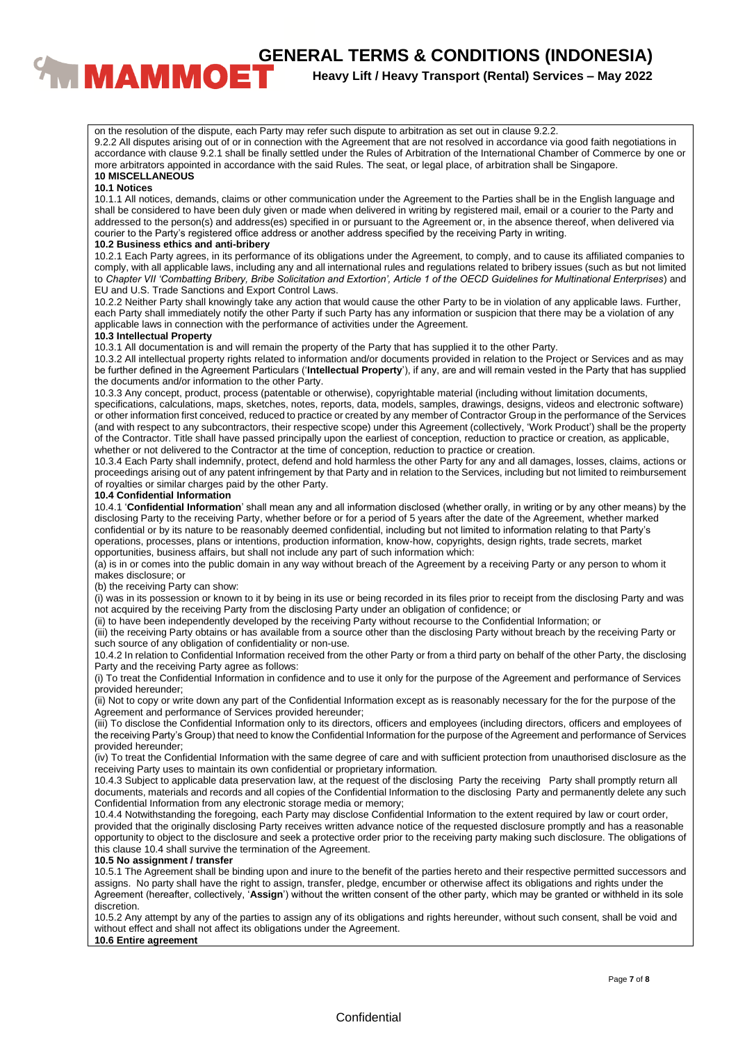# **CENERAL TERMS & CONDITIONS (INDONESIA)**<br>**BENERAL TERMS & CONDITIONS (INDONESIA)**<br>Heavy Lift / Heavy Transport (Rental) Services – May 2022

**Heavy Lift / Heavy Transport (Rental) Services – May 2022**

on the resolution of the dispute, each Party may refer such dispute to arbitration as set out in clause 9.2.2. 9.2.2 All disputes arising out of or in connection with the Agreement that are not resolved in accordance via good faith negotiations in accordance with clause 9.2.1 shall be finally settled under the Rules of Arbitration of the International Chamber of Commerce by one or more arbitrators appointed in accordance with the said Rules. The seat, or legal place, of arbitration shall be Singapore.

# **10 MISCELLANEOUS**

# **10.1 Notices**

10.1.1 All notices, demands, claims or other communication under the Agreement to the Parties shall be in the English language and shall be considered to have been duly given or made when delivered in writing by registered mail, email or a courier to the Party and addressed to the person(s) and address(es) specified in or pursuant to the Agreement or, in the absence thereof, when delivered via courier to the Party's registered office address or another address specified by the receiving Party in writing.

#### **10.2 Business ethics and anti-bribery**

10.2.1 Each Party agrees, in its performance of its obligations under the Agreement, to comply, and to cause its affiliated companies to comply, with all applicable laws, including any and all international rules and regulations related to bribery issues (such as but not limited to *Chapter VII 'Combatting Bribery, Bribe Solicitation and Extortion', Article 1 of the OECD Guidelines for Multinational Enterprises*) and EU and U.S. Trade Sanctions and Export Control Laws.

10.2.2 Neither Party shall knowingly take any action that would cause the other Party to be in violation of any applicable laws. Further, each Party shall immediately notify the other Party if such Party has any information or suspicion that there may be a violation of any applicable laws in connection with the performance of activities under the Agreement.

#### **10.3 Intellectual Property**

10.3.1 All documentation is and will remain the property of the Party that has supplied it to the other Party.

10.3.2 All intellectual property rights related to information and/or documents provided in relation to the Project or Services and as may be further defined in the Agreement Particulars ('**Intellectual Property**'), if any, are and will remain vested in the Party that has supplied the documents and/or information to the other Party.

10.3.3 Any concept, product, process (patentable or otherwise), copyrightable material (including without limitation documents, specifications, calculations, maps, sketches, notes, reports, data, models, samples, drawings, designs, videos and electronic software) or other information first conceived, reduced to practice or created by any member of Contractor Group in the performance of the Services (and with respect to any subcontractors, their respective scope) under this Agreement (collectively, 'Work Product') shall be the property of the Contractor. Title shall have passed principally upon the earliest of conception, reduction to practice or creation, as applicable, whether or not delivered to the Contractor at the time of conception, reduction to practice or creation.

10.3.4 Each Party shall indemnify, protect, defend and hold harmless the other Party for any and all damages, losses, claims, actions or proceedings arising out of any patent infringement by that Party and in relation to the Services, including but not limited to reimbursement of royalties or similar charges paid by the other Party.

#### **10.4 Confidential Information**

10.4.1 '**Confidential Information**' shall mean any and all information disclosed (whether orally, in writing or by any other means) by the disclosing Party to the receiving Party, whether before or for a period of 5 years after the date of the Agreement, whether marked confidential or by its nature to be reasonably deemed confidential, including but not limited to information relating to that Party's operations, processes, plans or intentions, production information, know-how, copyrights, design rights, trade secrets, market opportunities, business affairs, but shall not include any part of such information which:

(a) is in or comes into the public domain in any way without breach of the Agreement by a receiving Party or any person to whom it makes disclosure; or

(b) the receiving Party can show:

(i) was in its possession or known to it by being in its use or being recorded in its files prior to receipt from the disclosing Party and was not acquired by the receiving Party from the disclosing Party under an obligation of confidence; or

(ii) to have been independently developed by the receiving Party without recourse to the Confidential Information; or

(iii) the receiving Party obtains or has available from a source other than the disclosing Party without breach by the receiving Party or such source of any obligation of confidentiality or non-use.

10.4.2 In relation to Confidential Information received from the other Party or from a third party on behalf of the other Party, the disclosing Party and the receiving Party agree as follows:

(i) To treat the Confidential Information in confidence and to use it only for the purpose of the Agreement and performance of Services provided hereunder;

(ii) Not to copy or write down any part of the Confidential Information except as is reasonably necessary for the for the purpose of the Agreement and performance of Services provided hereunder;

(iii) To disclose the Confidential Information only to its directors, officers and employees (including directors, officers and employees of the receiving Party's Group) that need to know the Confidential Information for the purpose of the Agreement and performance of Services provided hereunder;

(iv) To treat the Confidential Information with the same degree of care and with sufficient protection from unauthorised disclosure as the receiving Party uses to maintain its own confidential or proprietary information.

10.4.3 Subject to applicable data preservation law, at the request of the disclosing Party the receiving Party shall promptly return all documents, materials and records and all copies of the Confidential Information to the disclosing Party and permanently delete any such Confidential Information from any electronic storage media or memory;

10.4.4 Notwithstanding the foregoing, each Party may disclose Confidential Information to the extent required by law or court order, provided that the originally disclosing Party receives written advance notice of the requested disclosure promptly and has a reasonable opportunity to object to the disclosure and seek a protective order prior to the receiving party making such disclosure. The obligations of this clause 10.4 shall survive the termination of the Agreement.

# **10.5 No assignment / transfer**

10.5.1 The Agreement shall be binding upon and inure to the benefit of the parties hereto and their respective permitted successors and assigns. No party shall have the right to assign, transfer, pledge, encumber or otherwise affect its obligations and rights under the Agreement (hereafter, collectively, '**Assign**') without the written consent of the other party, which may be granted or withheld in its sole discretion.

10.5.2 Any attempt by any of the parties to assign any of its obligations and rights hereunder, without such consent, shall be void and without effect and shall not affect its obligations under the Agreement.

#### **10.6 Entire agreement**